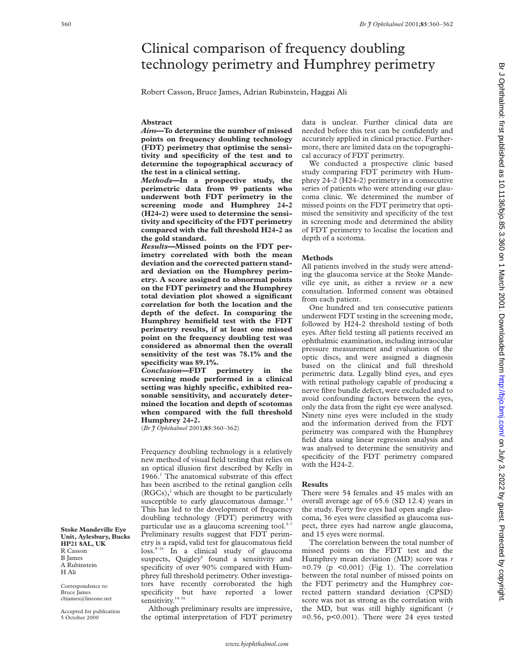# Clinical comparison of frequency doubling technology perimetry and Humphrey perimetry

Robert Casson, Bruce James, Adrian Rubinstein, Haggai Ali

## **Abstract**

*Aim***—To determine the number of missed points on frequency doubling technology (FDT) perimetry that optimise the sensitivity and specificity of the test and to determine the topographical accuracy of the test in a clinical setting.**

*Methods***—In a prospective study, the perimetric data from 99 patients who underwent both FDT perimetry in the screening mode and Humphrey 24-2 (H24-2) were used to determine the sensitivity and specificity of the FDT perimetry compared with the full threshold H24-2 as the gold standard.**

*Results***—Missed points on the FDT perimetry correlated with both the mean deviation and the corrected pattern standard deviation on the Humphrey perimetry. A score assigned to abnormal points on the FDT perimetry and the Humphrey total deviation plot showed a significant correlation for both the location and the depth of the defect. In comparing the Humphrey hemifield test with the FDT perimetry results, if at least one missed point on the frequency doubling test was considered as abnormal then the overall sensitivity of the test was 78.1% and the specificity was 89.1%.**

*Conclusion***—FDT perimetry in the screening mode performed in a clinical setting was highly specific, exhibited reasonable sensitivity, and accurately determined the location and depth of scotomas when compared with the full threshold Humphrey 24-2.**

(*Br J Ophthalmol* 2001;**85**:360–362)

Frequency doubling technology is a relatively new method of visual field testing that relies on an optical illusion first described by Kelly in  $1966<sup>1</sup>$  The anatomical substrate of this effect has been ascribed to the retinal ganglion cells  $(RGCs)<sup>2</sup>$  which are thought to be particularly susceptible to early glaucomatous damage.<sup>3</sup> This has led to the development of frequency doubling technology (FDT) perimetry with particular use as a glaucoma screening tool. $5-7$ Preliminary results suggest that FDT perimetry is a rapid, valid test for glaucomatous field loss.8–16 In a clinical study of glaucoma suspects, Quigley<sup>8</sup> found a sensitivity and specificity of over 90% compared with Humphrey full threshold perimetry. Other investigators have recently corroborated the high specificity but have reported a lower sensitivity.<sup>14–16</sup>

Although preliminary results are impressive, the optimal interpretation of FDT perimetry data is unclear. Further clinical data are needed before this test can be confidently and accurately applied in clinical practice. Furthermore, there are limited data on the topographical accuracy of FDT perimetry.

We conducted a prospective clinic based study comparing FDT perimetry with Humphrey 24-2 (H24-2) perimetry in a consecutive series of patients who were attending our glaucoma clinic. We determined the number of missed points on the FDT perimetry that optimised the sensitivity and specificity of the test in screening mode and determined the ability of FDT perimetry to localise the location and depth of a scotoma.

#### **Methods**

All patients involved in the study were attending the glaucoma service at the Stoke Mandeville eye unit, as either a review or a new consultation. Informed consent was obtained from each patient.

One hundred and ten consecutive patients underwent FDT testing in the screening mode, followed by H24-2 threshold testing of both eyes. After field testing all patients received an ophthalmic examination, including intraocular pressure measurement and evaluation of the optic discs, and were assigned a diagnosis based on the clinical and full threshold perimetric data. Legally blind eyes, and eyes with retinal pathology capable of producing a nerve fibre bundle defect, were excluded and to avoid confounding factors between the eyes, only the data from the right eye were analysed. Ninety nine eyes were included in the study and the information derived from the FDT perimetry was compared with the Humphrey field data using linear regression analysis and was analysed to determine the sensitivity and specificity of the FDT perimetry compared with the H24-2.

#### **Results**

There were 54 females and 45 males with an overall average age of 65.6 (SD 12.4) years in the study. Forty five eyes had open angle glaucoma, 36 eyes were classified as glaucoma suspect, three eyes had narrow angle glaucoma, and 15 eyes were normal.

The correlation between the total number of missed points on the FDT test and the Humphrey mean deviation (MD) score was *r*  $=0.79$  (p < 0.001) (Fig 1). The correlation between the total number of missed points on the FDT perimetry and the Humphrey corrected pattern standard deviation (CPSD) score was not as strong as the correlation with the MD, but was still highly significant (*r*  $=0.56$ ,  $p<0.001$ ). There were 24 eyes tested

**Stoke Mandeville Eye Unit, Aylesbury, Bucks HP21 8AL, UK** R Casson B James A Rubinstein H Ali

Correspondence to: Bruce James cbjames@lineone.net

Accepted for publication 5 October 2000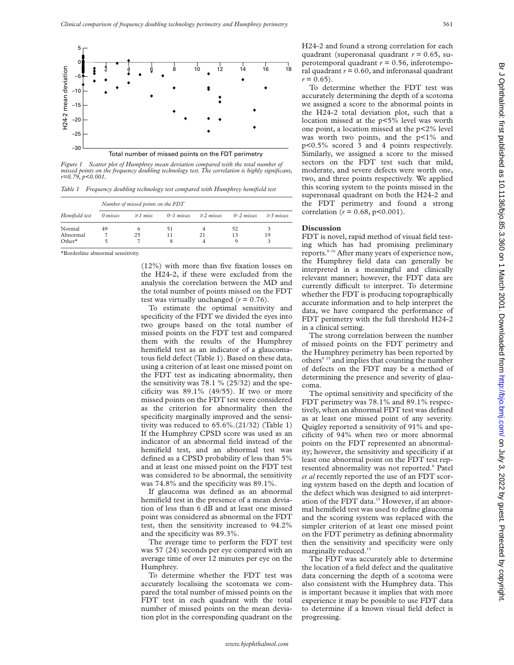

*Figure 1 Scatter plot of Humphrey mean deviation compared with the total number of missed points on the frequency doubling technology test. The correlation is highly significant, r=0.79, p<0.001.*

*Table 1 Frequency doubling technology test compared with Humphrey hemifield test*

| Hemifield test | Number of missed points on the FDT |               |                |                 |                |                 |
|----------------|------------------------------------|---------------|----------------|-----------------|----------------|-----------------|
|                | 0 misses                           | $\geq 1$ miss | $0 - 1$ misses | $\geq$ 2 misses | $0 - 2$ misses | $\geq$ 3 misses |
| Normal         | 49                                 | 6             | 51             |                 | 52             |                 |
| Abnormal       |                                    | 25            |                | 21              | 13             | 19              |
| $Other*$       | h                                  |               |                | 4               |                |                 |

\*Borderline abnormal sensitivity.

(12%) with more than five fixation losses on the H24-2, if these were excluded from the analysis the correlation between the MD and the total number of points missed on the FDT test was virtually unchanged  $(r = 0.76)$ .

To estimate the optimal sensitivity and specificity of the FDT we divided the eyes into two groups based on the total number of missed points on the FDT test and compared them with the results of the Humphrey hemifield test as an indicator of a glaucomatous field defect (Table 1). Based on these data, using a criterion of at least one missed point on the FDT test as indicating abnormality, then the sensitivity was  $78.1 \% (25/32)$  and the specificity was  $89.1\%$  (49/55). If two or more missed points on the FDT test were considered as the criterion for abnormality then the specificity marginally improved and the sensitivity was reduced to 65.6%.(21/32) (Table 1) If the Humphrey CPSD score was used as an indicator of an abnormal field instead of the hemifield test, and an abnormal test was defined as a CPSD probability of less than 5% and at least one missed point on the FDT test was considered to be abnormal, the sensitivity was 74.8% and the specificity was 89.1%.

If glaucoma was defined as an abnormal hemifield test in the presence of a mean deviation of less than 6 dB and at least one missed point was considered as abnormal on the FDT test, then the sensitivity increased to 94.2% and the specificity was 89.3%.

The average time to perform the FDT test was 57 (24) seconds per eye compared with an average time of over 12 minutes per eye on the Humphrey.

To determine whether the FDT test was accurately localising the scotomata we compared the total number of missed points on the FDT test in each quadrant with the total number of missed points on the mean deviation plot in the corresponding quadrant on the H24-2 and found a strong correlation for each quadrant (superonasal quadrant *r* = 0.65, superotemporal quadrant *r* = 0.56, inferotemporal quadrant  $r = 0.60$ , and inferonasal quadrant  $r = 0.65$ ).

To determine whether the FDT test was accurately determining the depth of a scotoma we assigned a score to the abnormal points in the H24-2 total deviation plot, such that a location missed at the p<5% level was worth one point, a location missed at the p<2% level was worth two points, and the p<1% and p<0.5% scored 3 and 4 points respectively. Similarly, we assigned a score to the missed sectors on the FDT test such that mild, moderate, and severe defects were worth one, two, and three points respectively. We applied this scoring system to the points missed in the superonasal quadrant on both the H24-2 and the FDT perimetry and found a strong correlation ( $r = 0.68$ ,  $p < 0.001$ ).

### **Discussion**

FDT is novel, rapid method of visual field testing which has had promising preliminary reports.<sup>8-16</sup> After many years of experience now, the Humphrey field data can generally be interpreted in a meaningful and clinically relevant manner; however, the FDT data are currently difficult to interpret. To determine whether the FDT is producing topographically accurate information and to help interpret the data, we have compared the performance of FDT perimetry with the full threshold H24-2 in a clinical setting.

The strong correlation between the number of missed points on the FDT perimetry and the Humphrey perimetry has been reported by others<sup>8 15</sup> and implies that counting the number of defects on the FDT may be a method of determining the presence and severity of glaucoma.

The optimal sensitivity and specificity of the FDT perimetry was 78.1% and 89.1% respectively, when an abnormal FDT test was defined as at least one missed point of any severity. Quigley reported a sensitivity of 91% and specificity of 94% when two or more abnormal points on the FDT represented an abnormality; however, the sensitivity and specificity if at least one abnormal point on the FDT test represented abnormality was not reported.<sup>8</sup> Patel *et al* recently reported the use of an FDT scoring system based on the depth and location of the defect which was designed to aid interpretation of the FDT data.<sup>15</sup> However, if an abnormal hemifield test was used to define glaucoma and the scoring system was replaced with the simpler criterion of at least one missed point on the FDT perimetry as defining abnormality then the sensitivity and specificity were only marginally reduced.<sup>15</sup>

The FDT was accurately able to determine the location of a field defect and the qualitative data concerning the depth of a scotoma were also consistent with the Humphrey data. This is important because it implies that with more experience it may be possible to use FDT data to determine if a known visual field defect is progressing.